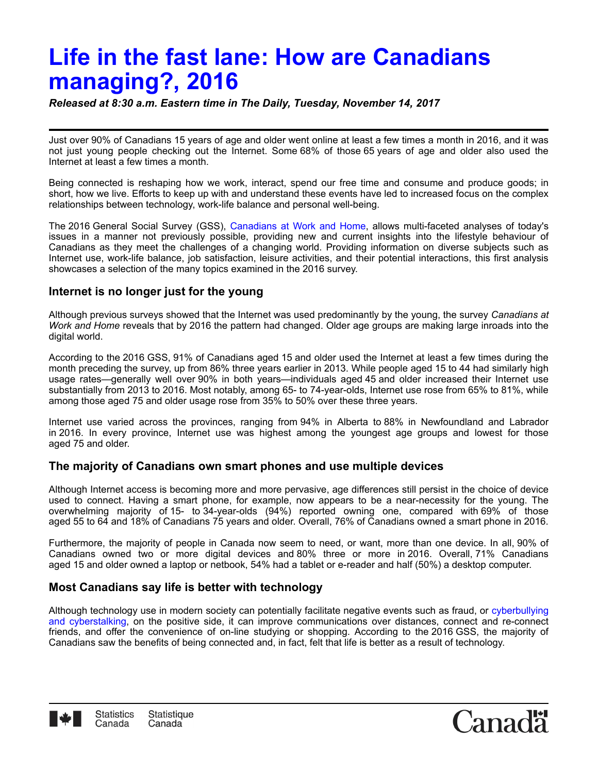# **Life in the fast lane: How are Canadians managing?, 2016**

*Released at 8:30 a.m. Eastern time in The Daily, Tuesday, November 14, 2017*

Just over 90% of Canadians 15 years of age and older went online at least a few times a month in 2016, and it was not just young people checking out the Internet. Some 68% of those 65 years of age and older also used the Internet at least a few times a month.

Being connected is reshaping how we work, interact, spend our free time and consume and produce goods; in short, how we live. Efforts to keep up with and understand these events have led to increased focus on the complex relationships between technology, work-life balance and personal well-being.

The 2016 General Social Survey (GSS), [Canadians at Work and Home,](http://www23.statcan.gc.ca/imdb/p2SV.pl?Function=getSurvey&SDDS=5221) allows multi-faceted analyses of today's issues in a manner not previously possible, providing new and current insights into the lifestyle behaviour of Canadians as they meet the challenges of a changing world. Providing information on diverse subjects such as Internet use, work-life balance, job satisfaction, leisure activities, and their potential interactions, this first analysis showcases a selection of the many topics examined in the 2016 survey.

### **Internet is no longer just for the young**

Although previous surveys showed that the Internet was used predominantly by the young, the survey *Canadians at Work and Home* reveals that by 2016 the pattern had changed. Older age groups are making large inroads into the digital world.

According to the 2016 GSS, 91% of Canadians aged 15 and older used the Internet at least a few times during the month preceding the survey, up from 86% three years earlier in 2013. While people aged 15 to 44 had similarly high usage rates—generally well over 90% in both years—individuals aged 45 and older increased their Internet use substantially from 2013 to 2016. Most notably, among 65- to 74-year-olds, Internet use rose from 65% to 81%, while among those aged 75 and older usage rose from 35% to 50% over these three years.

Internet use varied across the provinces, ranging from 94% in Alberta to 88% in Newfoundland and Labrador in 2016. In every province, Internet use was highest among the youngest age groups and lowest for those aged 75 and older.

## **The majority of Canadians own smart phones and use multiple devices**

Although Internet access is becoming more and more pervasive, age differences still persist in the choice of device used to connect. Having a smart phone, for example, now appears to be a near-necessity for the young. The overwhelming majority of 15- to 34-year-olds (94%) reported owning one, compared with 69% of those aged 55 to 64 and 18% of Canadians 75 years and older. Overall, 76% of Canadians owned a smart phone in 2016.

Furthermore, the majority of people in Canada now seem to need, or want, more than one device. In all, 90% of Canadians owned two or more digital devices and 80% three or more in 2016. Overall, 71% Canadians aged 15 and older owned a laptop or netbook, 54% had a tablet or e-reader and half (50%) a desktop computer.

## **Most Canadians say life is better with technology**

Although technology use in modern society can potentially facilitate negative events such as fraud, or cyberbullying [and cyberstalking, on the positive side, it can improve communications over distances, connect and re-connect](http://www.statcan.gc.ca/pub/75-006-x/2016001/article/14693-eng.htm) friends, and offer the convenience of on-line studying or shopping. According to the 2016 GSS, the majority of Canadians saw the benefits of being connected and, in fact, felt that life is better as a result of technology.



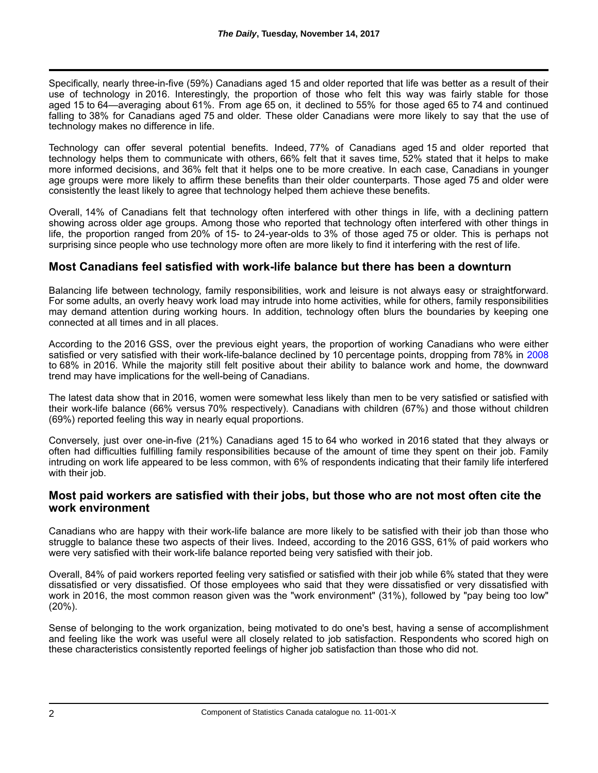Specifically, nearly three-in-five (59%) Canadians aged 15 and older reported that life was better as a result of their use of technology in 2016. Interestingly, the proportion of those who felt this way was fairly stable for those aged 15 to 64—averaging about 61%. From age 65 on, it declined to 55% for those aged 65 to 74 and continued falling to 38% for Canadians aged 75 and older. These older Canadians were more likely to say that the use of technology makes no difference in life.

Technology can offer several potential benefits. Indeed, 77% of Canadians aged 15 and older reported that technology helps them to communicate with others, 66% felt that it saves time, 52% stated that it helps to make more informed decisions, and 36% felt that it helps one to be more creative. In each case, Canadians in younger age groups were more likely to affirm these benefits than their older counterparts. Those aged 75 and older were consistently the least likely to agree that technology helped them achieve these benefits.

Overall, 14% of Canadians felt that technology often interfered with other things in life, with a declining pattern showing across older age groups. Among those who reported that technology often interfered with other things in life, the proportion ranged from 20% of 15- to 24-year-olds to 3% of those aged 75 or older. This is perhaps not surprising since people who use technology more often are more likely to find it interfering with the rest of life.

### **Most Canadians feel satisfied with work-life balance but there has been a downturn**

Balancing life between technology, family responsibilities, work and leisure is not always easy or straightforward. For some adults, an overly heavy work load may intrude into home activities, while for others, family responsibilities may demand attention during working hours. In addition, technology often blurs the boundaries by keeping one connected at all times and in all places.

According to the 2016 GSS, over the previous eight years, the proportion of working Canadians who were either satisfied or very satisfied with their work-life-balance declined by 10 percentage points, dropping from 78% in [2008](http://www23.statcan.gc.ca/imdb/p2SV.pl?Function=getSurvey&Id=30687) to 68% in 2016. While the majority still felt positive about their ability to balance work and home, the downward trend may have implications for the well-being of Canadians.

The latest data show that in 2016, women were somewhat less likely than men to be very satisfied or satisfied with their work-life balance (66% versus 70% respectively). Canadians with children (67%) and those without children (69%) reported feeling this way in nearly equal proportions.

Conversely, just over one-in-five (21%) Canadians aged 15 to 64 who worked in 2016 stated that they always or often had difficulties fulfilling family responsibilities because of the amount of time they spent on their job. Family intruding on work life appeared to be less common, with 6% of respondents indicating that their family life interfered with their job.

### **Most paid workers are satisfied with their jobs, but those who are not most often cite the work environment**

Canadians who are happy with their work-life balance are more likely to be satisfied with their job than those who struggle to balance these two aspects of their lives. Indeed, according to the 2016 GSS, 61% of paid workers who were very satisfied with their work-life balance reported being very satisfied with their job.

Overall, 84% of paid workers reported feeling very satisfied or satisfied with their job while 6% stated that they were dissatisfied or very dissatisfied. Of those employees who said that they were dissatisfied or very dissatisfied with work in 2016, the most common reason given was the "work environment" (31%), followed by "pay being too low" (20%).

Sense of belonging to the work organization, being motivated to do one's best, having a sense of accomplishment and feeling like the work was useful were all closely related to job satisfaction. Respondents who scored high on these characteristics consistently reported feelings of higher job satisfaction than those who did not.